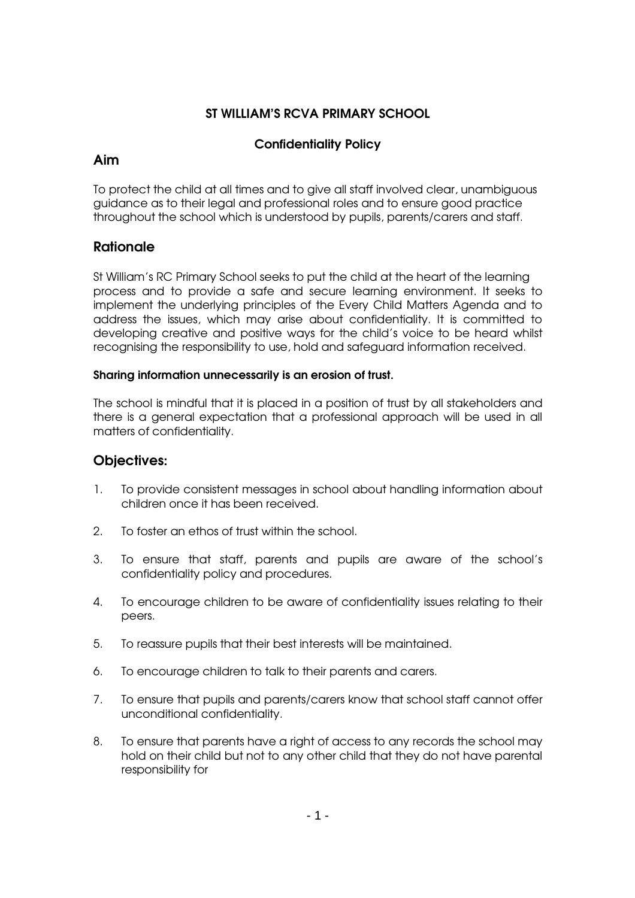# ST WILLIAM'S RCVA PRIMARY SCHOOL

# Confidentiality Policy

### Aim

To protect the child at all times and to give all staff involved clear, unambiguous guidance as to their legal and professional roles and to ensure good practice throughout the school which is understood by pupils, parents/carers and staff.

# **Rationale**

St William's RC Primary School seeks to put the child at the heart of the learning process and to provide a safe and secure learning environment. It seeks to implement the underlying principles of the Every Child Matters Agenda and to address the issues, which may arise about confidentiality. It is committed to developing creative and positive ways for the child's voice to be heard whilst recognising the responsibility to use, hold and safeguard information received.

#### Sharing information unnecessarily is an erosion of trust.

The school is mindful that it is placed in a position of trust by all stakeholders and there is a general expectation that a professional approach will be used in all matters of confidentiality.

# Objectives:

- 1. To provide consistent messages in school about handling information about children once it has been received.
- 2. To foster an ethos of trust within the school.
- 3. To ensure that staff, parents and pupils are aware of the school's confidentiality policy and procedures.
- 4. To encourage children to be aware of confidentiality issues relating to their peers.
- 5. To reassure pupils that their best interests will be maintained.
- 6. To encourage children to talk to their parents and carers.
- 7. To ensure that pupils and parents/carers know that school staff cannot offer unconditional confidentiality.
- 8. To ensure that parents have a right of access to any records the school may hold on their child but not to any other child that they do not have parental responsibility for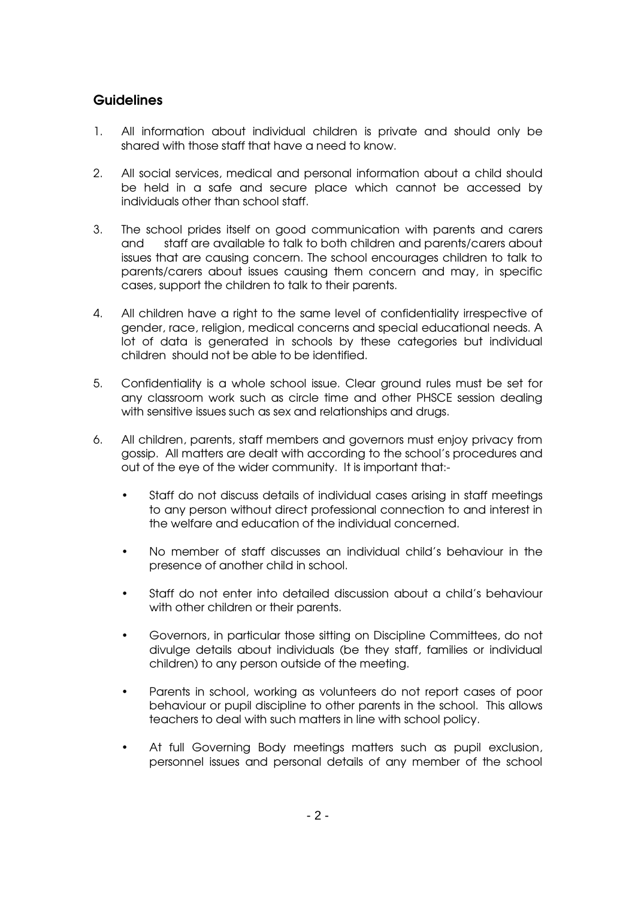# **Guidelines**

- 1. All information about individual children is private and should only be shared with those staff that have a need to know.
- 2. All social services, medical and personal information about a child should be held in a safe and secure place which cannot be accessed by individuals other than school staff.
- 3. The school prides itself on good communication with parents and carers and staff are available to talk to both children and parents/carers about issues that are causing concern. The school encourages children to talk to parents/carers about issues causing them concern and may, in specific cases, support the children to talk to their parents.
- 4. All children have a right to the same level of confidentiality irrespective of gender, race, religion, medical concerns and special educational needs. A lot of data is generated in schools by these categories but individual children should not be able to be identified.
- 5. Confidentiality is a whole school issue. Clear ground rules must be set for any classroom work such as circle time and other PHSCE session dealing with sensitive issues such as sex and relationships and drugs.
- 6. All children, parents, staff members and governors must enjoy privacy from gossip. All matters are dealt with according to the school's procedures and out of the eye of the wider community. It is important that:-
	- Staff do not discuss details of individual cases arising in staff meetings to any person without direct professional connection to and interest in the welfare and education of the individual concerned.
	- No member of staff discusses an individual child's behaviour in the presence of another child in school.
	- Staff do not enter into detailed discussion about a child's behaviour with other children or their parents.
	- Governors, in particular those sitting on Discipline Committees, do not divulge details about individuals (be they staff, families or individual children) to any person outside of the meeting.
	- Parents in school, working as volunteers do not report cases of poor behaviour or pupil discipline to other parents in the school. This allows teachers to deal with such matters in line with school policy.
	- At full Governing Body meetings matters such as pupil exclusion, personnel issues and personal details of any member of the school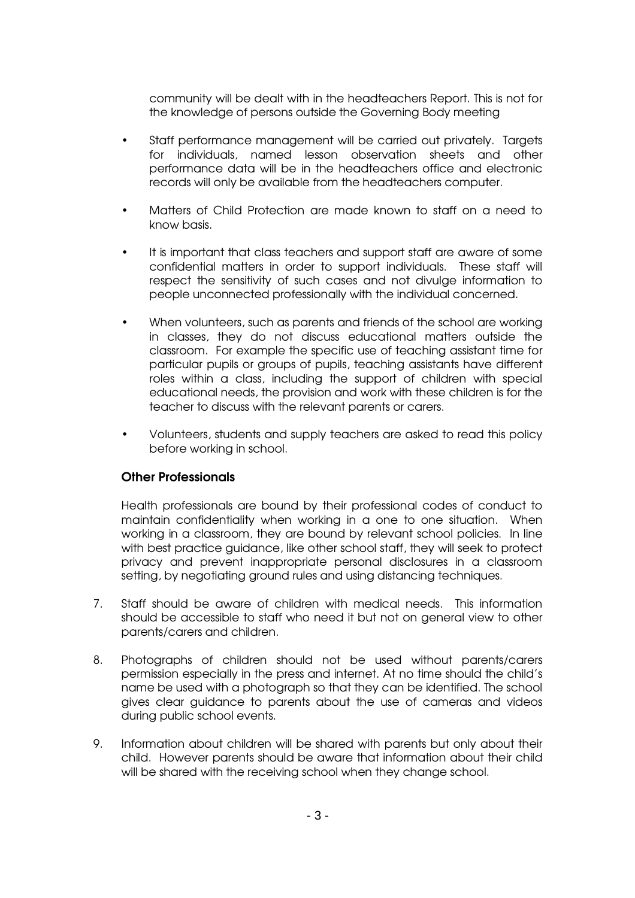community will be dealt with in the headteachers Report. This is not for the knowledge of persons outside the Governing Body meeting

- Staff performance management will be carried out privately. Targets for individuals, named lesson observation sheets and other performance data will be in the headteachers office and electronic records will only be available from the headteachers computer.
- Matters of Child Protection are made known to staff on a need to know basis.
- It is important that class teachers and support staff are aware of some confidential matters in order to support individuals. These staff will respect the sensitivity of such cases and not divulge information to people unconnected professionally with the individual concerned.
- When volunteers, such as parents and friends of the school are working in classes, they do not discuss educational matters outside the classroom. For example the specific use of teaching assistant time for particular pupils or groups of pupils, teaching assistants have different roles within a class, including the support of children with special educational needs, the provision and work with these children is for the teacher to discuss with the relevant parents or carers.
- Volunteers, students and supply teachers are asked to read this policy before working in school.

#### Other Professionals

Health professionals are bound by their professional codes of conduct to maintain confidentiality when working in a one to one situation. When working in a classroom, they are bound by relevant school policies. In line with best practice guidance, like other school staff, they will seek to protect privacy and prevent inappropriate personal disclosures in a classroom setting, by negotiating ground rules and using distancing techniques.

- 7. Staff should be aware of children with medical needs. This information should be accessible to staff who need it but not on general view to other parents/carers and children.
- 8. Photographs of children should not be used without parents/carers permission especially in the press and internet. At no time should the child's name be used with a photograph so that they can be identified. The school gives clear guidance to parents about the use of cameras and videos during public school events.
- 9. Information about children will be shared with parents but only about their child. However parents should be aware that information about their child will be shared with the receiving school when they change school.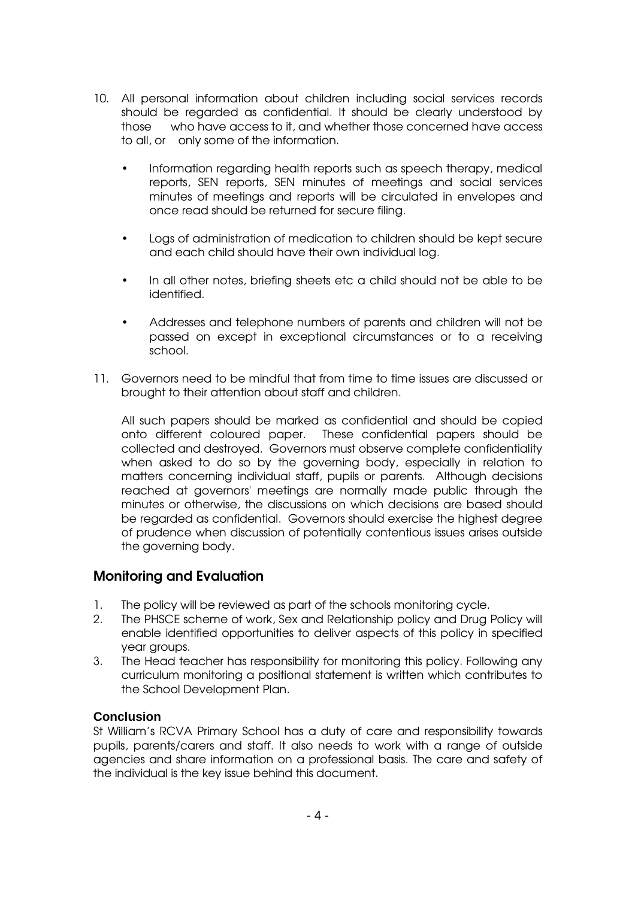- 10. All personal information about children including social services records should be regarded as confidential. It should be clearly understood by those who have access to it, and whether those concerned have access to all, or only some of the information.
	- Information regarding health reports such as speech therapy, medical reports, SEN reports, SEN minutes of meetings and social services minutes of meetings and reports will be circulated in envelopes and once read should be returned for secure filing.
	- Logs of administration of medication to children should be kept secure and each child should have their own individual log.
	- In all other notes, briefing sheets etc a child should not be able to be identified.
	- Addresses and telephone numbers of parents and children will not be passed on except in exceptional circumstances or to a receiving school.
- 11. Governors need to be mindful that from time to time issues are discussed or brought to their attention about staff and children.

All such papers should be marked as confidential and should be copied onto different coloured paper. These confidential papers should be collected and destroyed. Governors must observe complete confidentiality when asked to do so by the governing body, especially in relation to matters concerning individual staff, pupils or parents. Although decisions reached at governors' meetings are normally made public through the minutes or otherwise, the discussions on which decisions are based should be regarded as confidential. Governors should exercise the highest degree of prudence when discussion of potentially contentious issues arises outside the governing body.

# Monitoring and Evaluation

- 1. The policy will be reviewed as part of the schools monitoring cycle.
- 2. The PHSCE scheme of work, Sex and Relationship policy and Drug Policy will enable identified opportunities to deliver aspects of this policy in specified year groups.
- 3. The Head teacher has responsibility for monitoring this policy. Following any curriculum monitoring a positional statement is written which contributes to the School Development Plan.

#### **Conclusion**

St William's RCVA Primary School has a duty of care and responsibility towards pupils, parents/carers and staff. It also needs to work with a range of outside agencies and share information on a professional basis. The care and safety of the individual is the key issue behind this document.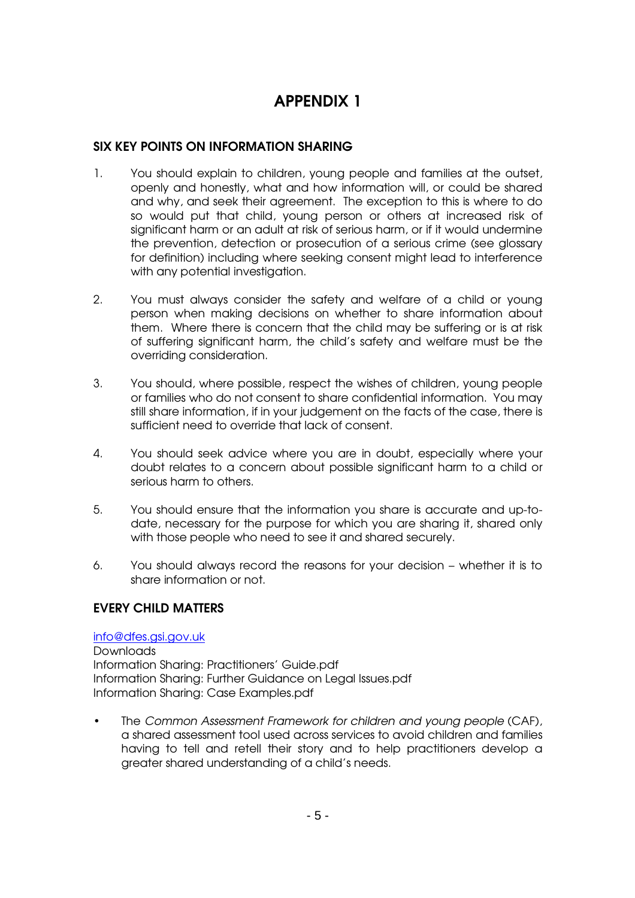# APPENDIX 1

# SIX KEY POINTS ON INFORMATION SHARING

- 1. You should explain to children, young people and families at the outset, openly and honestly, what and how information will, or could be shared and why, and seek their agreement. The exception to this is where to do so would put that child, young person or others at increased risk of significant harm or an adult at risk of serious harm, or if it would undermine the prevention, detection or prosecution of a serious crime (see glossary for definition) including where seeking consent might lead to interference with any potential investigation.
- 2. You must always consider the safety and welfare of a child or young person when making decisions on whether to share information about them. Where there is concern that the child may be suffering or is at risk of suffering significant harm, the child's safety and welfare must be the overriding consideration.
- 3. You should, where possible, respect the wishes of children, young people or families who do not consent to share confidential information. You may still share information, if in your judgement on the facts of the case, there is sufficient need to override that lack of consent.
- 4. You should seek advice where you are in doubt, especially where your doubt relates to a concern about possible significant harm to a child or serious harm to others.
- 5. You should ensure that the information you share is accurate and up-todate, necessary for the purpose for which you are sharing it, shared only with those people who need to see it and shared securely.
- 6. You should always record the reasons for your decision whether it is to share information or not.

#### EVERY CHILD MATTERS

#### info@dfes.gsi.gov.uk Downloads Information Sharing: Practitioners' Guide.pdf Information Sharing: Further Guidance on Legal Issues.pdf Information Sharing: Case Examples.pdf

• The Common Assessment Framework for children and young people (CAF), a shared assessment tool used across services to avoid children and families having to tell and retell their story and to help practitioners develop a greater shared understanding of a child's needs.